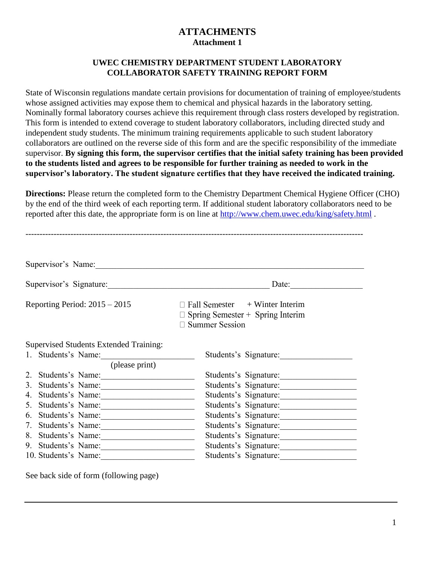# **ATTACHMENTS Attachment 1**

#### **UWEC CHEMISTRY DEPARTMENT STUDENT LABORATORY COLLABORATOR SAFETY TRAINING REPORT FORM**

State of Wisconsin regulations mandate certain provisions for documentation of training of employee/students whose assigned activities may expose them to chemical and physical hazards in the laboratory setting. Nominally formal laboratory courses achieve this requirement through class rosters developed by registration. This form is intended to extend coverage to student laboratory collaborators, including directed study and independent study students. The minimum training requirements applicable to such student laboratory collaborators are outlined on the reverse side of this form and are the specific responsibility of the immediate supervisor. **By signing this form, the supervisor certifies that the initial safety training has been provided to the students listed and agrees to be responsible for further training as needed to work in the supervisor's laboratory. The student signature certifies that they have received the indicated training.**

**Directions:** Please return the completed form to the Chemistry Department Chemical Hygiene Officer (CHO) by the end of the third week of each reporting term. If additional student laboratory collaborators need to be reported after this date, the appropriate form is on line at<http://www.chem.uwec.edu/king/safety.html> .

| Supervisor's Name:                                                                                               |                                                                                                                           |
|------------------------------------------------------------------------------------------------------------------|---------------------------------------------------------------------------------------------------------------------------|
| Supervisor's Signature:                                                                                          | Date:                                                                                                                     |
| Reporting Period: $2015 - 2015$                                                                                  | $\Box$ Fall Semester + Winter Interim<br>$\Box$ Spring Semester + Spring Interim<br>$\Box$ Summer Session                 |
| Supervised Students Extended Training:<br>1. Students's Name:<br>(please print)                                  | Students's Signature:                                                                                                     |
| 2. Students's Name:<br>3. Students's Name:<br>4. Students's Name:<br>5. Students's Name:                         | Students's Signature:<br>Students's Signature:<br>Students's Signature:<br>Students's Signature:                          |
| 6. Students's Name:<br>7. Students's Name:<br>8. Students's Name:<br>9. Students's Name:<br>10. Students's Name: | Students's Signature:<br>Students's Signature:<br>Students's Signature:<br>Students's Signature:<br>Students's Signature: |

------------------------------------------------------------------------------------------------------------------------

See back side of form (following page)